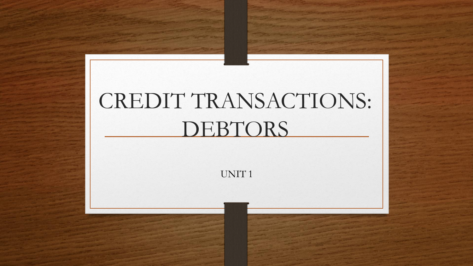# CREDIT TRANSACTIONS: DEBTORS

UNIT 1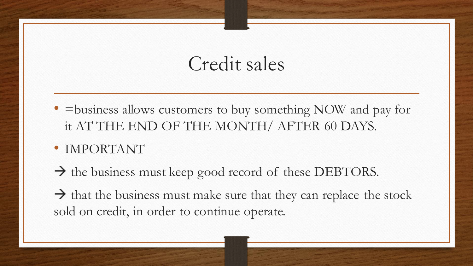# Credit sales

• = business allows customers to buy something NOW and pay for it AT THE END OF THE MONTH/ AFTER 60 DAYS.

## • IMPORTANT

 $\rightarrow$  the business must keep good record of these DEBTORS.

 $\rightarrow$  that the business must make sure that they can replace the stock sold on credit, in order to continue operate.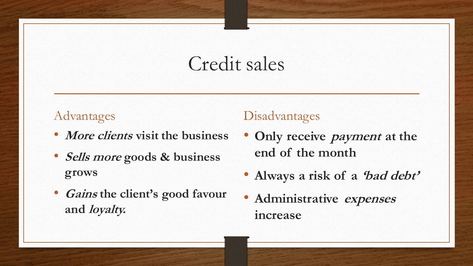# Credit sales

### Advantages

- **More clients visit the business**
- **Sells more goods & business grows**
- **Gains the client's good favour and loyalty.**

#### Disadvantages

- **Only receive payment at the end of the month**
- **Always a risk of a 'bad debt'**
- **Administrative expenses increase**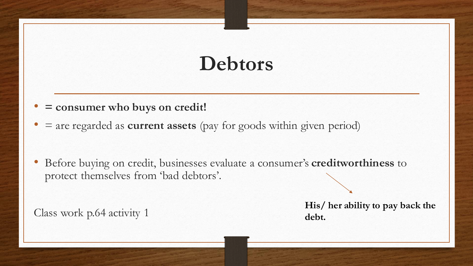# **Debtors**

- **= consumer who buys on credit!**
- = are regarded as **current assets** (pay for goods within given period)
- Before buying on credit, businesses evaluate a consumer's **creditworthiness** to protect themselves from 'bad debtors'.

Class work p.64 activity 1

**His/ her ability to pay back the debt.**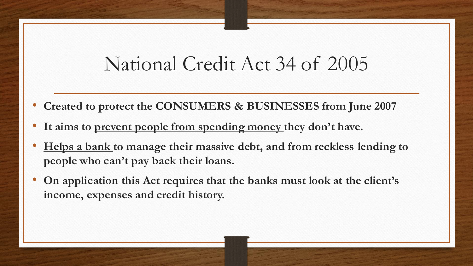## National Credit Act 34 of 2005

- **Created to protect the CONSUMERS & BUSINESSES from June 2007**
- **It aims to prevent people from spending money they don't have.**
- **Helps a bank to manage their massive debt, and from reckless lending to people who can't pay back their loans.**
- **On application this Act requires that the banks must look at the client's income, expenses and credit history.**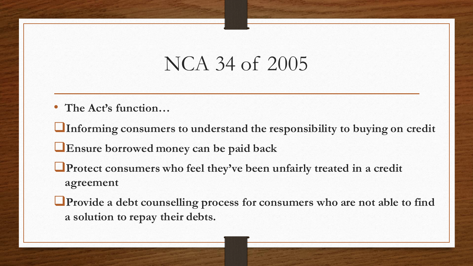# NCA 34 of 2005

• **The Act's function…**

❑**Informing consumers to understand the responsibility to buying on credit**

❑**Ensure borrowed money can be paid back**

❑**Protect consumers who feel they've been unfairly treated in a credit agreement**

❑**Provide a debt counselling process for consumers who are not able to find a solution to repay their debts.**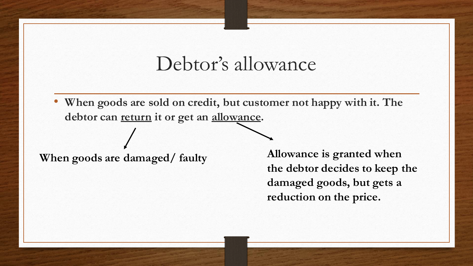## Debtor's allowance

• **When goods are sold on credit, but customer not happy with it. The debtor can return it or get an allowance.** 

**When goods are damaged/ faulty Allowance is granted when the debtor decides to keep the damaged goods, but gets a reduction on the price.**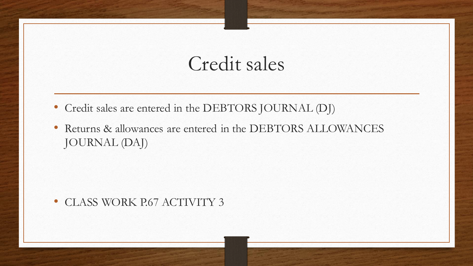## Credit sales

- Credit sales are entered in the DEBTORS JOURNAL (DJ)
- Returns & allowances are entered in the DEBTORS ALLOWANCES JOURNAL (DAJ)

#### • CLASS WORK P.67 ACTIVITY 3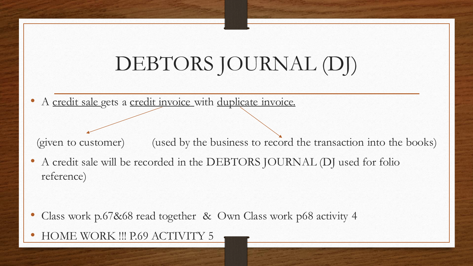# DEBTORS JOURNAL (DJ)

A credit sale gets a credit invoice with duplicate invoice.

(given to customer) (used by the business to record the transaction into the books)

• A credit sale will be recorded in the DEBTORS JOURNAL (DJ used for folio reference)

- Class work p.67&68 read together & Own Class work p68 activity 4
- HOME WORK !!! P.69 ACTIVITY 5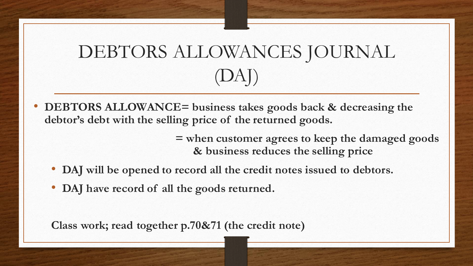# DEBTORS ALLOWANCES JOURNAL (DAJ)

• **DEBTORS ALLOWANCE= business takes goods back & decreasing the debtor's debt with the selling price of the returned goods.**

> **= when customer agrees to keep the damaged goods & business reduces the selling price**

- **DAJ will be opened to record all the credit notes issued to debtors.**
- **DAJ have record of all the goods returned.**

**Class work; read together p.70&71 (the credit note)**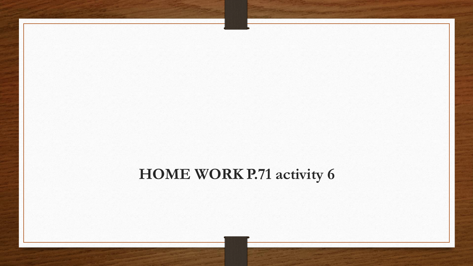## **HOME WORK P.71 activity 6**